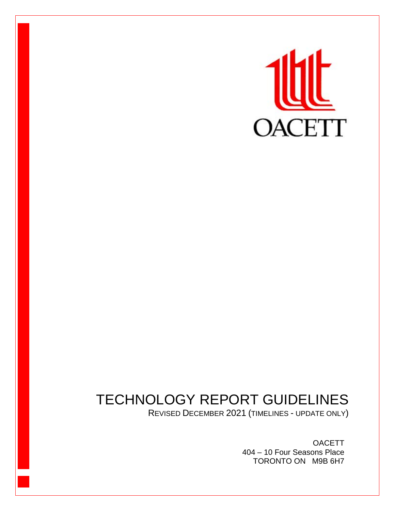

# TECHNOLOGY REPORT GUIDELINES

REVISED DECEMBER 2021 (TIMELINES - UPDATE ONLY)

**OACETT** 404 – 10 Four Seasons Place TORONTO ON M9B 6H7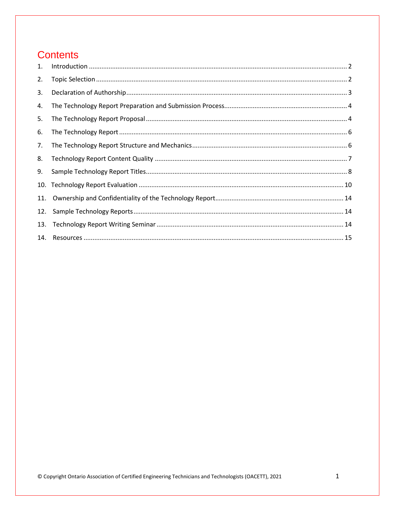# **Contents**

| 1.  |  |
|-----|--|
| 2.  |  |
| 3.  |  |
| 4.  |  |
| 5.  |  |
| 6.  |  |
| 7.  |  |
| 8.  |  |
| 9.  |  |
| 10. |  |
| 11. |  |
| 12. |  |
| 13. |  |
|     |  |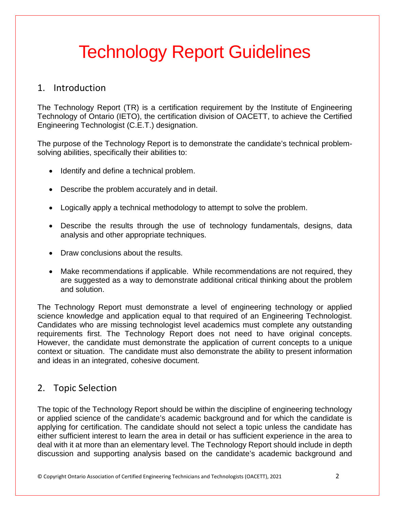# Technology Report Guidelines

### <span id="page-2-0"></span>1. Introduction

The Technology Report (TR) is a certification requirement by the Institute of Engineering Technology of Ontario (IETO), the certification division of OACETT, to achieve the Certified Engineering Technologist (C.E.T.) designation.

The purpose of the Technology Report is to demonstrate the candidate's technical problemsolving abilities, specifically their abilities to:

- Identify and define a technical problem.
- Describe the problem accurately and in detail.
- Logically apply a technical methodology to attempt to solve the problem.
- Describe the results through the use of technology fundamentals, designs, data analysis and other appropriate techniques.
- Draw conclusions about the results.
- Make recommendations if applicable. While recommendations are not required, they are suggested as a way to demonstrate additional critical thinking about the problem and solution.

The Technology Report must demonstrate a level of engineering technology or applied science knowledge and application equal to that required of an Engineering Technologist. Candidates who are missing technologist level academics must complete any outstanding requirements first. The Technology Report does not need to have original concepts. However, the candidate must demonstrate the application of current concepts to a unique context or situation. The candidate must also demonstrate the ability to present information and ideas in an integrated, cohesive document.

# <span id="page-2-1"></span>2. Topic Selection

The topic of the Technology Report should be within the discipline of engineering technology or applied science of the candidate's academic background and for which the candidate is applying for certification. The candidate should not select a topic unless the candidate has either sufficient interest to learn the area in detail or has sufficient experience in the area to deal with it at more than an elementary level. The Technology Report should include in depth discussion and supporting analysis based on the candidate's academic background and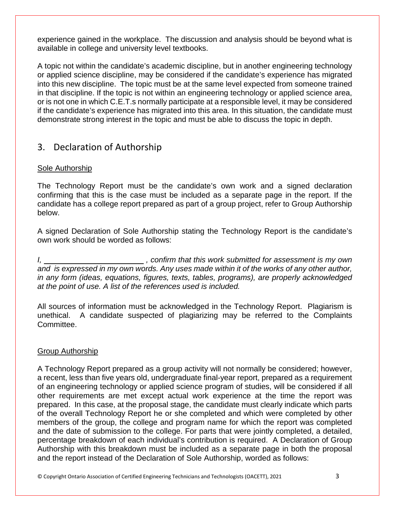experience gained in the workplace. The discussion and analysis should be beyond what is available in college and university level textbooks.

A topic not within the candidate's academic discipline, but in another engineering technology or applied science discipline, may be considered if the candidate's experience has migrated into this new discipline. The topic must be at the same level expected from someone trained in that discipline. If the topic is not within an engineering technology or applied science area, or is not one in which C.E.T.s normally participate at a responsible level, it may be considered if the candidate's experience has migrated into this area. In this situation, the candidate must demonstrate strong interest in the topic and must be able to discuss the topic in depth.

# <span id="page-3-0"></span>3. Declaration of Authorship

#### Sole Authorship

The Technology Report must be the candidate's own work and a signed declaration confirming that this is the case must be included as a separate page in the report. If the candidate has a college report prepared as part of a group project, refer to Group Authorship below.

A signed Declaration of Sole Authorship stating the Technology Report is the candidate's own work should be worded as follows:

*I*, \_\_\_\_\_\_\_\_\_\_\_\_\_\_\_\_\_\_\_\_\_\_\_\_\_\_\_\_, confirm that this work submitted for assessment is my own *and is expressed in my own words. Any uses made within it of the works of any other author, in any form (ideas, equations, figures, texts, tables, programs), are properly acknowledged at the point of use. A list of the references used is included.*

All sources of information must be acknowledged in the Technology Report. Plagiarism is unethical. A candidate suspected of plagiarizing may be referred to the Complaints Committee.

#### Group Authorship

A Technology Report prepared as a group activity will not normally be considered; however, a recent, less than five years old, undergraduate final-year report, prepared as a requirement of an engineering technology or applied science program of studies, will be considered if all other requirements are met except actual work experience at the time the report was prepared. In this case, at the proposal stage, the candidate must clearly indicate which parts of the overall Technology Report he or she completed and which were completed by other members of the group, the college and program name for which the report was completed and the date of submission to the college. For parts that were jointly completed, a detailed, percentage breakdown of each individual's contribution is required. A Declaration of Group Authorship with this breakdown must be included as a separate page in both the proposal and the report instead of the Declaration of Sole Authorship, worded as follows:

© Copyright Ontario Association of Certified Engineering Technicians and Technologists (OACETT), 2021 3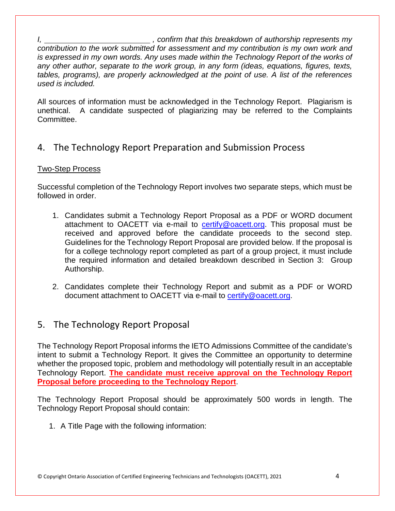*I,*  $\blacksquare$  , confirm that this breakdown of authorship represents my *contribution to the work submitted for assessment and my contribution is my own work and is expressed in my own words. Any uses made within the Technology Report of the works of any other author, separate to the work group, in any form (ideas, equations, figures, texts, tables, programs), are properly acknowledged at the point of use. A list of the references used is included.*

All sources of information must be acknowledged in the Technology Report. Plagiarism is unethical. A candidate suspected of plagiarizing may be referred to the Complaints Committee.

# <span id="page-4-0"></span>4. The Technology Report Preparation and Submission Process

#### Two-Step Process

Successful completion of the Technology Report involves two separate steps, which must be followed in order.

- 1. Candidates submit a Technology Report Proposal as a PDF or WORD document attachment to OACETT via e-mail to [certify@oacett.org.](mailto:certify@oacett.org) This proposal must be received and approved before the candidate proceeds to the second step. Guidelines for the Technology Report Proposal are provided below. If the proposal is for a college technology report completed as part of a group project, it must include the required information and detailed breakdown described in Section 3: Group Authorship.
- 2. Candidates complete their Technology Report and submit as a PDF or WORD document attachment to OACETT via e-mail to [certify@oacett.org.](mailto:certify@oacett.org)

# <span id="page-4-1"></span>5. The Technology Report Proposal

The Technology Report Proposal informs the IETO Admissions Committee of the candidate's intent to submit a Technology Report. It gives the Committee an opportunity to determine whether the proposed topic, problem and methodology will potentially result in an acceptable Technology Report. **The candidate must receive approval on the Technology Report Proposal before proceeding to the Technology Report**.

The Technology Report Proposal should be approximately 500 words in length. The Technology Report Proposal should contain:

1. A Title Page with the following information: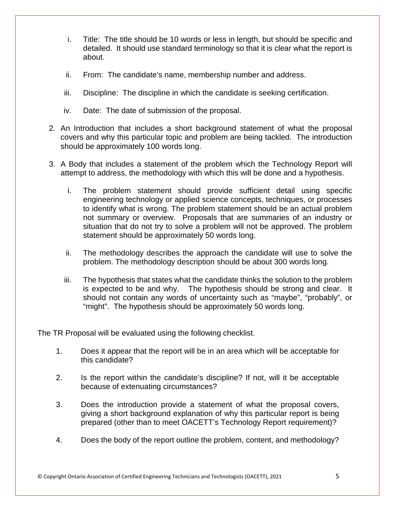- i. Title: The title should be 10 words or less in length, but should be specific and detailed. It should use standard terminology so that it is clear what the report is about.
- ii. From: The candidate's name, membership number and address.
- iii. Discipline: The discipline in which the candidate is seeking certification.
- iv. Date: The date of submission of the proposal.
- 2. An Introduction that includes a short background statement of what the proposal covers and why this particular topic and problem are being tackled. The introduction should be approximately 100 words long.
- 3. A Body that includes a statement of the problem which the Technology Report will attempt to address, the methodology with which this will be done and a hypothesis.
	- i. The problem statement should provide sufficient detail using specific engineering technology or applied science concepts, techniques, or processes to identify what is wrong. The problem statement should be an actual problem not summary or overview. Proposals that are summaries of an industry or situation that do not try to solve a problem will not be approved. The problem statement should be approximately 50 words long.
	- ii. The methodology describes the approach the candidate will use to solve the problem. The methodology description should be about 300 words long.
	- iii. The hypothesis that states what the candidate thinks the solution to the problem is expected to be and why. The hypothesis should be strong and clear. It should not contain any words of uncertainty such as "maybe", "probably", or "might". The hypothesis should be approximately 50 words long.

The TR Proposal will be evaluated using the following checklist.

- 1. Does it appear that the report will be in an area which will be acceptable for this candidate?
- 2. Is the report within the candidate's discipline? If not, will it be acceptable because of extenuating circumstances?
- 3. Does the introduction provide a statement of what the proposal covers, giving a short background explanation of why this particular report is being prepared (other than to meet OACETT's Technology Report requirement)?
- 4. Does the body of the report outline the problem, content, and methodology?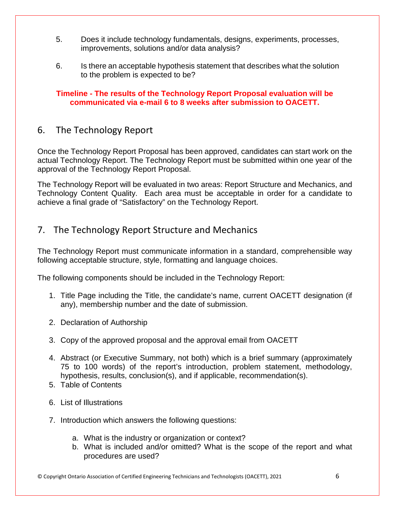- 5. Does it include technology fundamentals, designs, experiments, processes, improvements, solutions and/or data analysis?
- 6. Is there an acceptable hypothesis statement that describes what the solution to the problem is expected to be?

**Timeline - The results of the Technology Report Proposal evaluation will be communicated via e-mail 6 to 8 weeks after submission to OACETT.**

# <span id="page-6-0"></span>6. The Technology Report

Once the Technology Report Proposal has been approved, candidates can start work on the actual Technology Report. The Technology Report must be submitted within one year of the approval of the Technology Report Proposal.

The Technology Report will be evaluated in two areas: Report Structure and Mechanics, and Technology Content Quality. Each area must be acceptable in order for a candidate to achieve a final grade of "Satisfactory" on the Technology Report.

# <span id="page-6-1"></span>7. The Technology Report Structure and Mechanics

The Technology Report must communicate information in a standard, comprehensible way following acceptable structure, style, formatting and language choices.

The following components should be included in the Technology Report:

- 1. Title Page including the Title, the candidate's name, current OACETT designation (if any), membership number and the date of submission.
- 2. Declaration of Authorship
- 3. Copy of the approved proposal and the approval email from OACETT
- 4. Abstract (or Executive Summary, not both) which is a brief summary (approximately 75 to 100 words) of the report's introduction, problem statement, methodology, hypothesis, results, conclusion(s), and if applicable, recommendation(s).
- 5. Table of Contents
- 6. List of Illustrations
- 7. Introduction which answers the following questions:
	- a. What is the industry or organization or context?
	- b. What is included and/or omitted? What is the scope of the report and what procedures are used?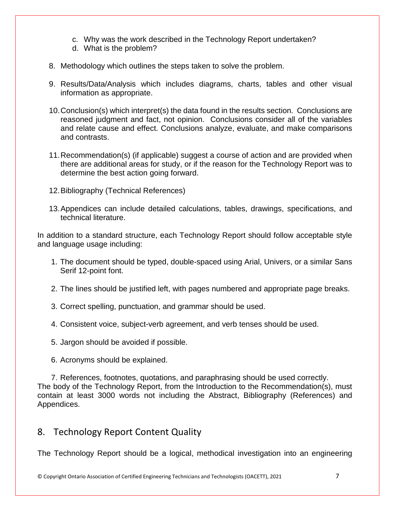- c. Why was the work described in the Technology Report undertaken?
- d. What is the problem?
- 8. Methodology which outlines the steps taken to solve the problem.
- 9. Results/Data/Analysis which includes diagrams, charts, tables and other visual information as appropriate.
- 10.Conclusion(s) which interpret(s) the data found in the results section. Conclusions are reasoned judgment and fact, not opinion. Conclusions consider all of the variables and relate cause and effect. Conclusions analyze, evaluate, and make comparisons and contrasts.
- 11.Recommendation(s) (if applicable) suggest a course of action and are provided when there are additional areas for study, or if the reason for the Technology Report was to determine the best action going forward.
- 12.Bibliography (Technical References)
- 13.Appendices can include detailed calculations, tables, drawings, specifications, and technical literature.

In addition to a standard structure, each Technology Report should follow acceptable style and language usage including:

- 1. The document should be typed, double-spaced using Arial, Univers, or a similar Sans Serif 12-point font.
- 2. The lines should be justified left, with pages numbered and appropriate page breaks.
- 3. Correct spelling, punctuation, and grammar should be used.
- 4. Consistent voice, subject-verb agreement, and verb tenses should be used.
- 5. Jargon should be avoided if possible.
- 6. Acronyms should be explained.

7. References, footnotes, quotations, and paraphrasing should be used correctly. The body of the Technology Report, from the Introduction to the Recommendation(s), must contain at least 3000 words not including the Abstract, Bibliography (References) and Appendices.

# <span id="page-7-0"></span>8. Technology Report Content Quality

The Technology Report should be a logical, methodical investigation into an engineering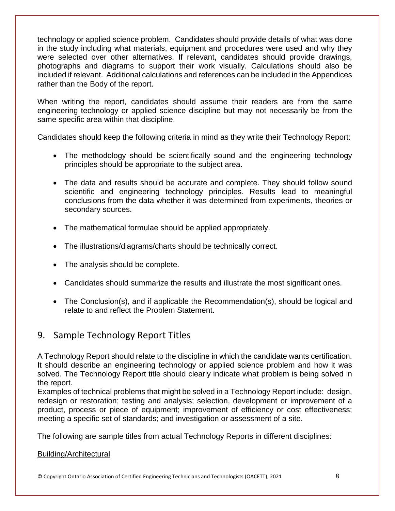technology or applied science problem. Candidates should provide details of what was done in the study including what materials, equipment and procedures were used and why they were selected over other alternatives. If relevant, candidates should provide drawings, photographs and diagrams to support their work visually. Calculations should also be included if relevant. Additional calculations and references can be included in the Appendices rather than the Body of the report.

When writing the report, candidates should assume their readers are from the same engineering technology or applied science discipline but may not necessarily be from the same specific area within that discipline.

Candidates should keep the following criteria in mind as they write their Technology Report:

- The methodology should be scientifically sound and the engineering technology principles should be appropriate to the subject area.
- The data and results should be accurate and complete. They should follow sound scientific and engineering technology principles. Results lead to meaningful conclusions from the data whether it was determined from experiments, theories or secondary sources.
- The mathematical formulae should be applied appropriately.
- The illustrations/diagrams/charts should be technically correct.
- The analysis should be complete.
- Candidates should summarize the results and illustrate the most significant ones.
- The Conclusion(s), and if applicable the Recommendation(s), should be logical and relate to and reflect the Problem Statement.

# <span id="page-8-0"></span>9. Sample Technology Report Titles

A Technology Report should relate to the discipline in which the candidate wants certification. It should describe an engineering technology or applied science problem and how it was solved. The Technology Report title should clearly indicate what problem is being solved in the report.

Examples of technical problems that might be solved in a Technology Report include: design, redesign or restoration; testing and analysis; selection, development or improvement of a product, process or piece of equipment; improvement of efficiency or cost effectiveness; meeting a specific set of standards; and investigation or assessment of a site.

The following are sample titles from actual Technology Reports in different disciplines:

#### Building/Architectural

© Copyright Ontario Association of Certified Engineering Technicians and Technologists (OACETT), 2021 8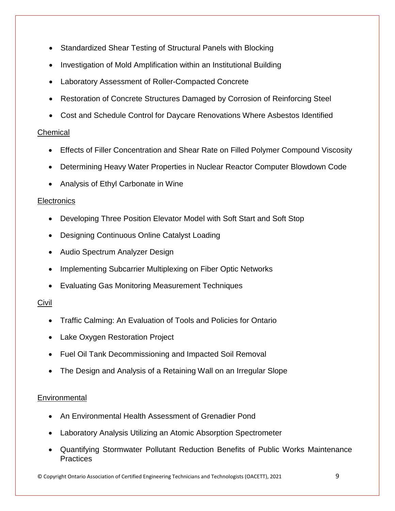- Standardized Shear Testing of Structural Panels with Blocking
- Investigation of Mold Amplification within an Institutional Building
- Laboratory Assessment of Roller-Compacted Concrete
- Restoration of Concrete Structures Damaged by Corrosion of Reinforcing Steel
- Cost and Schedule Control for Daycare Renovations Where Asbestos Identified

#### Chemical

- Effects of Filler Concentration and Shear Rate on Filled Polymer Compound Viscosity
- Determining Heavy Water Properties in Nuclear Reactor Computer Blowdown Code
- Analysis of Ethyl Carbonate in Wine

#### **Electronics**

- Developing Three Position Elevator Model with Soft Start and Soft Stop
- Designing Continuous Online Catalyst Loading
- Audio Spectrum Analyzer Design
- Implementing Subcarrier Multiplexing on Fiber Optic Networks
- Evaluating Gas Monitoring Measurement Techniques

#### Civil

- Traffic Calming: An Evaluation of Tools and Policies for Ontario
- Lake Oxygen Restoration Project
- Fuel Oil Tank Decommissioning and Impacted Soil Removal
- The Design and Analysis of a Retaining Wall on an Irregular Slope

#### **Environmental**

- An Environmental Health Assessment of Grenadier Pond
- Laboratory Analysis Utilizing an Atomic Absorption Spectrometer
- Quantifying Stormwater Pollutant Reduction Benefits of Public Works Maintenance **Practices**

© Copyright Ontario Association of Certified Engineering Technicians and Technologists (OACETT), 2021 9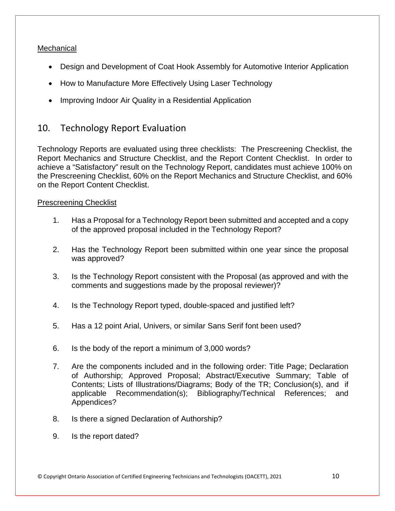#### **Mechanical**

- Design and Development of Coat Hook Assembly for Automotive Interior Application
- How to Manufacture More Effectively Using Laser Technology
- Improving Indoor Air Quality in a Residential Application

# <span id="page-10-0"></span>10. Technology Report Evaluation

Technology Reports are evaluated using three checklists: The Prescreening Checklist, the Report Mechanics and Structure Checklist, and the Report Content Checklist. In order to achieve a "Satisfactory" result on the Technology Report, candidates must achieve 100% on the Prescreening Checklist, 60% on the Report Mechanics and Structure Checklist, and 60% on the Report Content Checklist.

#### Prescreening Checklist

- 1. Has a Proposal for a Technology Report been submitted and accepted and a copy of the approved proposal included in the Technology Report?
- 2. Has the Technology Report been submitted within one year since the proposal was approved?
- 3. Is the Technology Report consistent with the Proposal (as approved and with the comments and suggestions made by the proposal reviewer)?
- 4. Is the Technology Report typed, double-spaced and justified left?
- 5. Has a 12 point Arial, Univers, or similar Sans Serif font been used?
- 6. Is the body of the report a minimum of 3,000 words?
- 7. Are the components included and in the following order: Title Page; Declaration of Authorship; Approved Proposal; Abstract/Executive Summary; Table of Contents; Lists of Illustrations/Diagrams; Body of the TR; Conclusion(s), and if applicable Recommendation(s); Bibliography/Technical References; and Appendices?
- 8. Is there a signed Declaration of Authorship?
- 9. Is the report dated?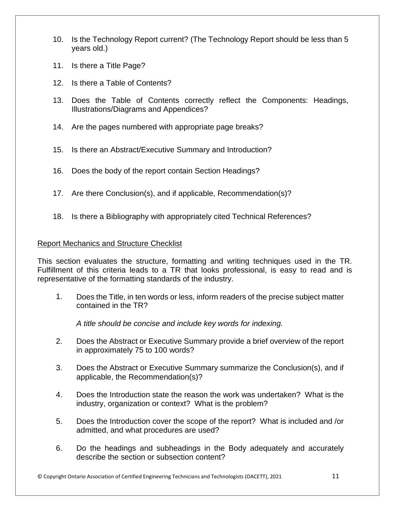- 10. Is the Technology Report current? (The Technology Report should be less than 5 years old.)
- 11. Is there a Title Page?
- 12. Is there a Table of Contents?
- 13. Does the Table of Contents correctly reflect the Components: Headings, Illustrations/Diagrams and Appendices?
- 14. Are the pages numbered with appropriate page breaks?
- 15. Is there an Abstract/Executive Summary and Introduction?
- 16. Does the body of the report contain Section Headings?
- 17. Are there Conclusion(s), and if applicable, Recommendation(s)?
- 18. Is there a Bibliography with appropriately cited Technical References?

#### Report Mechanics and Structure Checklist

This section evaluates the structure, formatting and writing techniques used in the TR. Fulfillment of this criteria leads to a TR that looks professional, is easy to read and is representative of the formatting standards of the industry.

1. Does the Title, in ten words or less, inform readers of the precise subject matter contained in the TR?

*A title should be concise and include key words for indexing.*

- 2. Does the Abstract or Executive Summary provide a brief overview of the report in approximately 75 to 100 words?
- 3. Does the Abstract or Executive Summary summarize the Conclusion(s), and if applicable, the Recommendation(s)?
- 4. Does the Introduction state the reason the work was undertaken? What is the industry, organization or context? What is the problem?
- 5. Does the Introduction cover the scope of the report? What is included and /or admitted, and what procedures are used?
- 6. Do the headings and subheadings in the Body adequately and accurately describe the section or subsection content?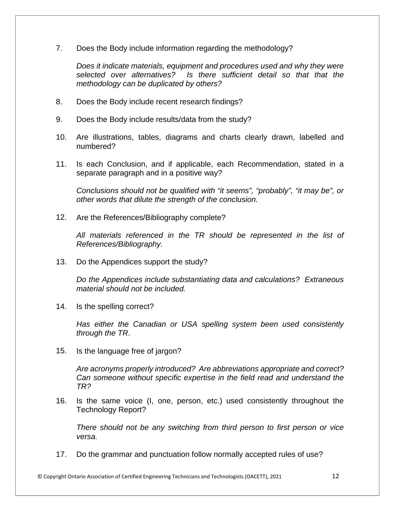7. Does the Body include information regarding the methodology?

*Does it indicate materials, equipment and procedures used and why they were selected over alternatives? Is there sufficient detail so that that the methodology can be duplicated by others?*

- 8. Does the Body include recent research findings?
- 9. Does the Body include results/data from the study?
- 10. Are illustrations, tables, diagrams and charts clearly drawn, labelled and numbered?
- 11. Is each Conclusion, and if applicable, each Recommendation, stated in a separate paragraph and in a positive way?

*Conclusions should not be qualified with "it seems", "probably", "it may be", or other words that dilute the strength of the conclusion.*

12. Are the References/Bibliography complete?

*All materials referenced in the TR should be represented in the list of References/Bibliography.*

13. Do the Appendices support the study?

*Do the Appendices include substantiating data and calculations? Extraneous material should not be included.*

14. Is the spelling correct?

*Has either the Canadian or USA spelling system been used consistently through the TR*.

15. Is the language free of jargon?

*Are acronyms properly introduced? Are abbreviations appropriate and correct? Can someone without specific expertise in the field read and understand the TR?*

16. Is the same voice (I, one, person, etc.) used consistently throughout the Technology Report?

*There should not be any switching from third person to first person or vice versa.*

17. Do the grammar and punctuation follow normally accepted rules of use?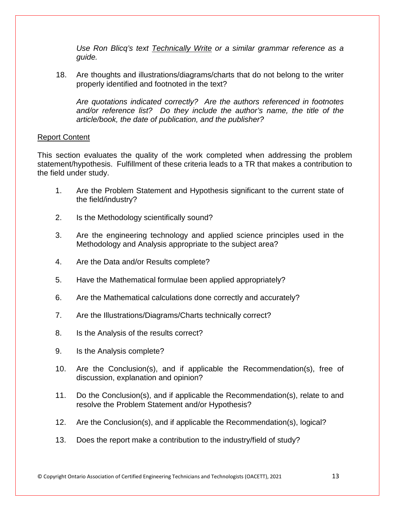*Use Ron Blicq's text Technically Write or a similar grammar reference as a guide.* 

18. Are thoughts and illustrations/diagrams/charts that do not belong to the writer properly identified and footnoted in the text?

*Are quotations indicated correctly? Are the authors referenced in footnotes and/or reference list? Do they include the author's name, the title of the article/book, the date of publication, and the publisher?*

#### Report Content

This section evaluates the quality of the work completed when addressing the problem statement/hypothesis. Fulfillment of these criteria leads to a TR that makes a contribution to the field under study.

- 1. Are the Problem Statement and Hypothesis significant to the current state of the field/industry?
- 2. Is the Methodology scientifically sound?
- 3. Are the engineering technology and applied science principles used in the Methodology and Analysis appropriate to the subject area?
- 4. Are the Data and/or Results complete?
- 5. Have the Mathematical formulae been applied appropriately?
- 6. Are the Mathematical calculations done correctly and accurately?
- 7. Are the Illustrations/Diagrams/Charts technically correct?
- 8. Is the Analysis of the results correct?
- 9. Is the Analysis complete?
- 10. Are the Conclusion(s), and if applicable the Recommendation(s), free of discussion, explanation and opinion?
- 11. Do the Conclusion(s), and if applicable the Recommendation(s), relate to and resolve the Problem Statement and/or Hypothesis?
- 12. Are the Conclusion(s), and if applicable the Recommendation(s), logical?
- 13. Does the report make a contribution to the industry/field of study?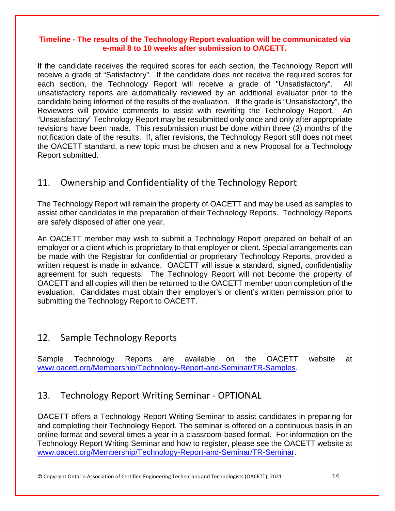#### **Timeline - The results of the Technology Report evaluation will be communicated via e-mail 8 to 10 weeks after submission to OACETT.**

If the candidate receives the required scores for each section, the Technology Report will receive a grade of "Satisfactory". If the candidate does not receive the required scores for each section, the Technology Report will receive a grade of "Unsatisfactory". All unsatisfactory reports are automatically reviewed by an additional evaluator prior to the candidate being informed of the results of the evaluation. If the grade is "Unsatisfactory", the Reviewers will provide comments to assist with rewriting the Technology Report. An "Unsatisfactory" Technology Report may be resubmitted only once and only after appropriate revisions have been made. This resubmission must be done within three (3) months of the notification date of the results. If, after revisions, the Technology Report still does not meet the OACETT standard, a new topic must be chosen and a new Proposal for a Technology Report submitted.

# <span id="page-14-0"></span>11. Ownership and Confidentiality of the Technology Report

The Technology Report will remain the property of OACETT and may be used as samples to assist other candidates in the preparation of their Technology Reports. Technology Reports are safely disposed of after one year.

An OACETT member may wish to submit a Technology Report prepared on behalf of an employer or a client which is proprietary to that employer or client. Special arrangements can be made with the Registrar for confidential or proprietary Technology Reports, provided a written request is made in advance. OACETT will issue a standard, signed, confidentiality agreement for such requests. The Technology Report will not become the property of OACETT and all copies will then be returned to the OACETT member upon completion of the evaluation. Candidates must obtain their employer's or client's written permission prior to submitting the Technology Report to OACETT.

#### <span id="page-14-1"></span>12. Sample Technology Reports

Sample Technology Reports are available on the OACETT website at [www.oacett.org/Membership/Technology-Report-and-Seminar/TR-Samples.](http://www.oacett.org/Membership/Technology-Report-and-Seminar/TR-Samples)

#### <span id="page-14-2"></span>13. Technology Report Writing Seminar - OPTIONAL

OACETT offers a Technology Report Writing Seminar to assist candidates in preparing for and completing their Technology Report. The seminar is offered on a continuous basis in an online format and several times a year in a classroom-based format. For information on the Technology Report Writing Seminar and how to register, please see the OACETT website at [www.oacett.org/Membership/Technology-Report-and-Seminar/TR-Seminar.](http://www.oacett.org/Membership/Technology-Report-and-Seminar/TR-Seminar)